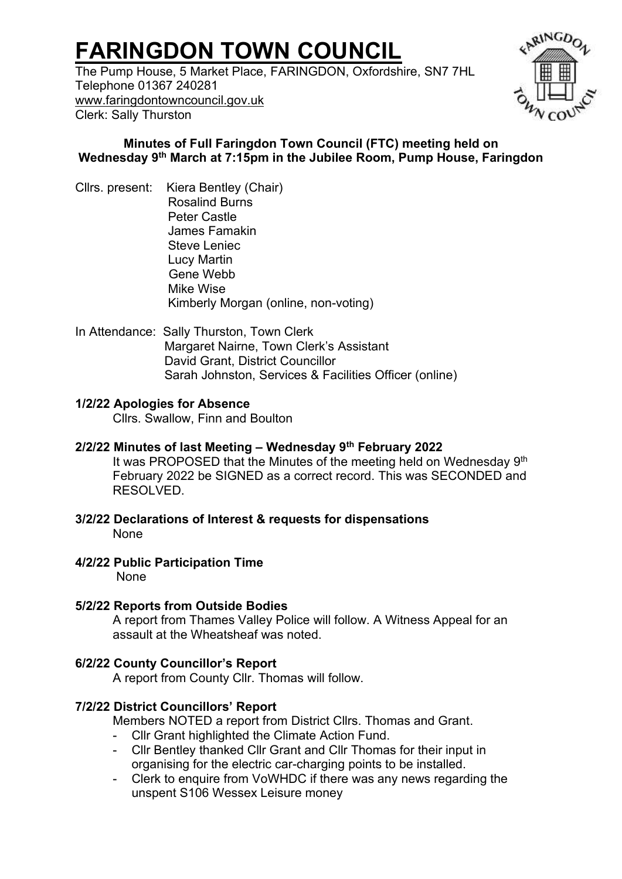# **FARINGDON TOWN COUNCIL**

The Pump House, 5 Market Place, FARINGDON, Oxfordshire, SN7 7HL Telephone 01367 240281 [www.faringdontowncouncil.gov.uk](http://www.faringdontowncouncil.gov.uk/) Clerk: Sally Thurston



## **Minutes of Full Faringdon Town Council (FTC) meeting held on Wednesday 9 th March at 7:15pm in the Jubilee Room, Pump House, Faringdon**

- Cllrs. present: Kiera Bentley (Chair) Rosalind Burns Peter Castle James Famakin Steve Leniec Lucy Martin Gene Webb Mike Wise Kimberly Morgan (online, non-voting)
- In Attendance: Sally Thurston, Town Clerk Margaret Nairne, Town Clerk's Assistant David Grant, District Councillor Sarah Johnston, Services & Facilities Officer (online)

#### **1/2/22 Apologies for Absence**

Cllrs. Swallow, Finn and Boulton

## **2/2/22 Minutes of last Meeting – Wednesday 9th February 2022**

It was PROPOSED that the Minutes of the meeting held on Wednesday 9<sup>th</sup> February 2022 be SIGNED as a correct record. This was SECONDED and RESOLVED.

**3/2/22 Declarations of Interest & requests for dispensations**  None

#### **4/2/22 Public Participation Time**

None

#### **5/2/22 Reports from Outside Bodies**

A report from Thames Valley Police will follow. A Witness Appeal for an assault at the Wheatsheaf was noted.

## **6/2/22 County Councillor's Report**

A report from County Cllr. Thomas will follow.

## **7/2/22 District Councillors' Report**

Members NOTED a report from District Cllrs. Thomas and Grant.

- Cllr Grant highlighted the Climate Action Fund.
- Cllr Bentley thanked Cllr Grant and Cllr Thomas for their input in organising for the electric car-charging points to be installed.
- Clerk to enquire from VoWHDC if there was any news regarding the unspent S106 Wessex Leisure money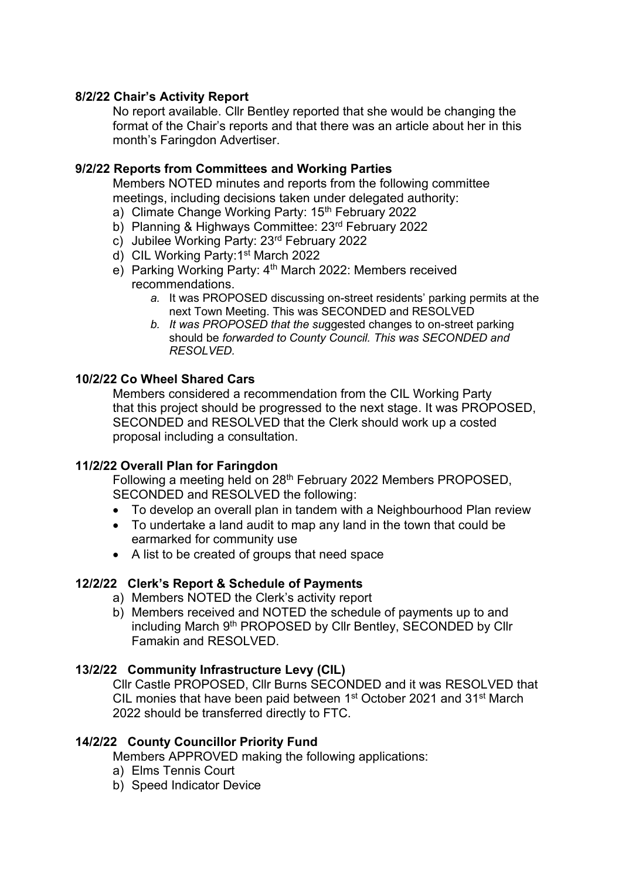#### **8/2/22 Chair's Activity Report**

No report available. Cllr Bentley reported that she would be changing the format of the Chair's reports and that there was an article about her in this month's Faringdon Advertiser.

#### **9/2/22 Reports from Committees and Working Parties**

Members NOTED minutes and reports from the following committee meetings, including decisions taken under delegated authority:

- a) Climate Change Working Party: 15<sup>th</sup> February 2022
- b) Planning & Highways Committee: 23rd February 2022
- c) Jubilee Working Party: 23rd February 2022
- d) CIL Working Party: 1<sup>st</sup> March 2022
- e) Parking Working Party: 4<sup>th</sup> March 2022: Members received recommendations.
	- *a.* It was PROPOSED discussing on-street residents' parking permits at the next Town Meeting. This was SECONDED and RESOLVED
	- *b. It was PROPOSED that the su*ggested changes to on-street parking should be *forwarded to County Council. This was SECONDED and RESOLVED.*

#### **10/2/22 Co Wheel Shared Cars**

Members considered a recommendation from the CIL Working Party that this project should be progressed to the next stage. It was PROPOSED, SECONDED and RESOLVED that the Clerk should work up a costed proposal including a consultation.

#### **11/2/22 Overall Plan for Faringdon**

Following a meeting held on 28<sup>th</sup> February 2022 Members PROPOSED, SECONDED and RESOLVED the following:

- To develop an overall plan in tandem with a Neighbourhood Plan review
- To undertake a land audit to map any land in the town that could be earmarked for community use
- A list to be created of groups that need space

#### **12/2/22****Clerk's Report & Schedule of Payments**

- a) Members NOTED the Clerk's activity report
- b) Members received and NOTED the schedule of payments up to and including March 9th PROPOSED by Cllr Bentley, SECONDED by Cllr Famakin and RESOLVED.

#### **13/2/22****Community Infrastructure Levy (CIL)**

Cllr Castle PROPOSED, Cllr Burns SECONDED and it was RESOLVED that CIL monies that have been paid between 1<sup>st</sup> October 2021 and 31<sup>st</sup> March 2022 should be transferred directly to FTC.

#### **14/2/22****County Councillor Priority Fund**

Members APPROVED making the following applications:

- a) Elms Tennis Court
- b) Speed Indicator Device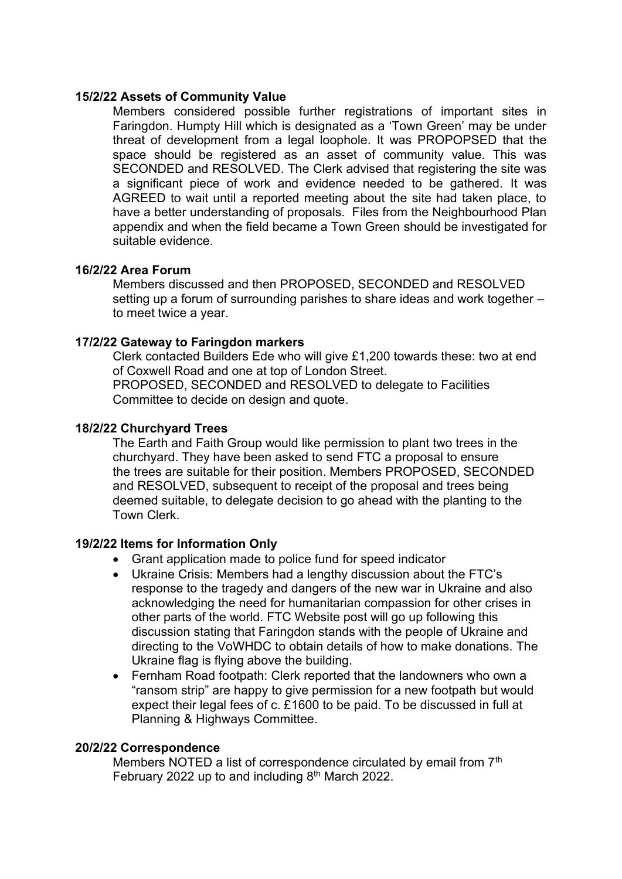#### **15/2/22 Assets of Community Value**

Members considered possible further registrations of important sites in Faringdon. Humpty Hill which is designated as a 'Town Green' may be under threat of development from a legal loophole. It was PROPOPSED that the space should be registered as an asset of community value. This was SECONDED and RESOLVED. The Clerk advised that registering the site was a significant piece of work and evidence needed to be gathered. It was AGREED to wait until a reported meeting about the site had taken place, to have a better understanding of proposals. Files from the Neighbourhood Plan appendix and when the field became a Town Green should be investigated for suitable evidence.

#### **16/2/22 Area Forum**

Members discussed and then PROPOSED, SECONDED and RESOLVED setting up a forum of surrounding parishes to share ideas and work together – to meet twice a year.

#### **17/2/22 Gateway to Faringdon markers**

Clerk contacted Builders Ede who will give £1,200 towards these: two at end of Coxwell Road and one at top of London Street. PROPOSED, SECONDED and RESOLVED to delegate to Facilities Committee to decide on design and quote.

#### **18/2/22 Churchyard Trees**

The Earth and Faith Group would like permission to plant two trees in the churchyard. They have been asked to send FTC a proposal to ensure the trees are suitable for their position. Members PROPOSED, SECONDED and RESOLVED, subsequent to receipt of the proposal and trees being deemed suitable, to delegate decision to go ahead with the planting to the Town Clerk.

#### **19/2/22 Items for Information Only**

- Grant application made to police fund for speed indicator
- Ukraine Crisis: Members had a lengthy discussion about the FTC's response to the tragedy and dangers of the new war in Ukraine and also acknowledging the need for humanitarian compassion for other crises in other parts of the world. FTC Website post will go up following this discussion stating that Faringdon stands with the people of Ukraine and directing to the VoWHDC to obtain details of how to make donations. The Ukraine flag is flying above the building.
- Fernham Road footpath: Clerk reported that the landowners who own a "ransom strip" are happy to give permission for a new footpath but would expect their legal fees of c. £1600 to be paid. To be discussed in full at Planning & Highways Committee.

#### **20/2/22 Correspondence**

Members NOTED a list of correspondence circulated by email from 7<sup>th</sup> February 2022 up to and including 8<sup>th</sup> March 2022.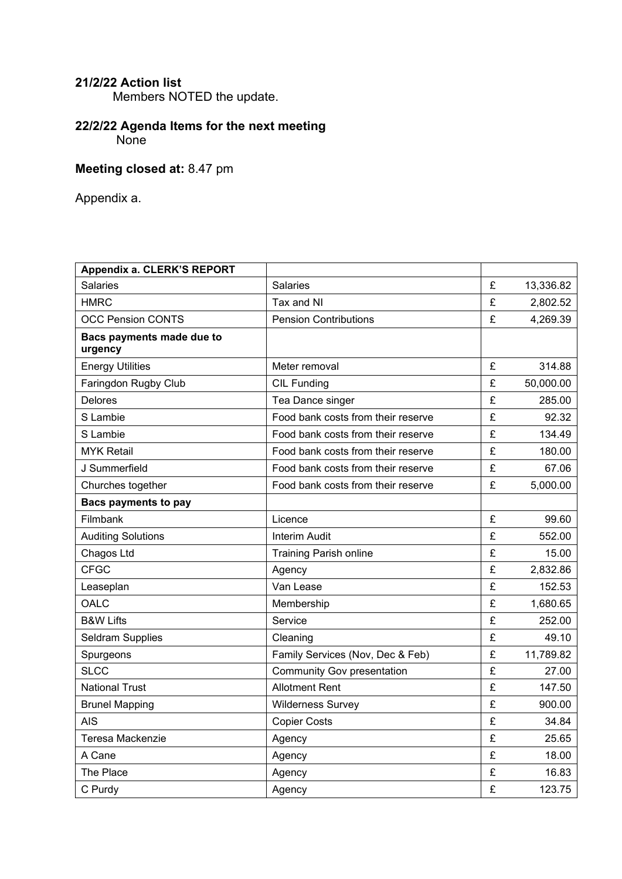## **21/2/22 Action list**

Members NOTED the update.

## **22/2/22 Agenda Items for the next meeting** None

## **Meeting closed at:** 8.47 pm

Appendix a.

| Appendix a. CLERK'S REPORT           |                                    |   |           |
|--------------------------------------|------------------------------------|---|-----------|
| <b>Salaries</b>                      | Salaries                           | £ | 13,336.82 |
| <b>HMRC</b>                          | Tax and NI                         | £ | 2,802.52  |
| <b>OCC Pension CONTS</b>             | <b>Pension Contributions</b>       | £ | 4,269.39  |
| Bacs payments made due to<br>urgency |                                    |   |           |
| <b>Energy Utilities</b>              | Meter removal                      | £ | 314.88    |
| Faringdon Rugby Club                 | <b>CIL Funding</b>                 | £ | 50,000.00 |
| Delores                              | Tea Dance singer                   | £ | 285.00    |
| S Lambie                             | Food bank costs from their reserve | £ | 92.32     |
| S Lambie                             | Food bank costs from their reserve | £ | 134.49    |
| <b>MYK Retail</b>                    | Food bank costs from their reserve | £ | 180.00    |
| J Summerfield                        | Food bank costs from their reserve | £ | 67.06     |
| Churches together                    | Food bank costs from their reserve | £ | 5,000.00  |
| <b>Bacs payments to pay</b>          |                                    |   |           |
| Filmbank                             | Licence                            | £ | 99.60     |
| <b>Auditing Solutions</b>            | <b>Interim Audit</b>               | £ | 552.00    |
| Chagos Ltd                           | <b>Training Parish online</b>      | £ | 15.00     |
| <b>CFGC</b>                          | Agency                             | £ | 2,832.86  |
| Leaseplan                            | Van Lease                          | £ | 152.53    |
| OALC                                 | Membership                         | £ | 1,680.65  |
| <b>B&amp;W Lifts</b>                 | Service                            | £ | 252.00    |
| <b>Seldram Supplies</b>              | Cleaning                           | £ | 49.10     |
| Spurgeons                            | Family Services (Nov, Dec & Feb)   | £ | 11,789.82 |
| <b>SLCC</b>                          | <b>Community Gov presentation</b>  | £ | 27.00     |
| <b>National Trust</b>                | <b>Allotment Rent</b>              | £ | 147.50    |
| <b>Brunel Mapping</b>                | <b>Wilderness Survey</b>           | £ | 900.00    |
| <b>AIS</b>                           | <b>Copier Costs</b>                | £ | 34.84     |
| Teresa Mackenzie                     | Agency                             | £ | 25.65     |
| A Cane                               | Agency                             | £ | 18.00     |
| The Place                            | Agency                             | £ | 16.83     |
| C Purdy                              | Agency                             | £ | 123.75    |